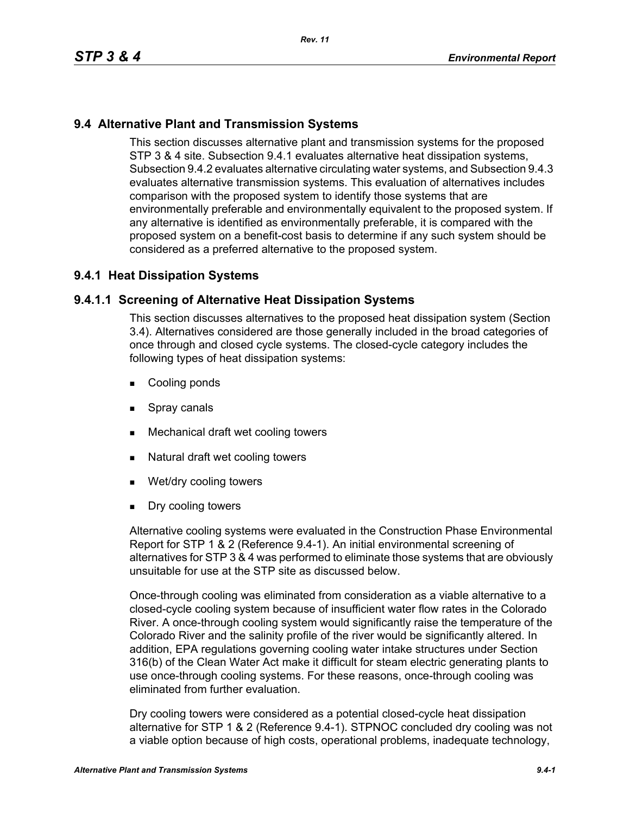# **9.4 Alternative Plant and Transmission Systems**

This section discusses alternative plant and transmission systems for the proposed STP 3 & 4 site. Subsection 9.4.1 evaluates alternative heat dissipation systems, Subsection 9.4.2 evaluates alternative circulating water systems, and Subsection 9.4.3 evaluates alternative transmission systems. This evaluation of alternatives includes comparison with the proposed system to identify those systems that are environmentally preferable and environmentally equivalent to the proposed system. If any alternative is identified as environmentally preferable, it is compared with the proposed system on a benefit-cost basis to determine if any such system should be considered as a preferred alternative to the proposed system.

# **9.4.1 Heat Dissipation Systems**

# **9.4.1.1 Screening of Alternative Heat Dissipation Systems**

This section discusses alternatives to the proposed heat dissipation system (Section 3.4). Alternatives considered are those generally included in the broad categories of once through and closed cycle systems. The closed-cycle category includes the following types of heat dissipation systems:

- **Cooling ponds**
- **Spray canals**
- Mechanical draft wet cooling towers
- Natural draft wet cooling towers
- Wet/dry cooling towers
- **Dry cooling towers**

Alternative cooling systems were evaluated in the Construction Phase Environmental Report for STP 1 & 2 (Reference 9.4-1). An initial environmental screening of alternatives for STP 3 & 4 was performed to eliminate those systems that are obviously unsuitable for use at the STP site as discussed below.

Once-through cooling was eliminated from consideration as a viable alternative to a closed-cycle cooling system because of insufficient water flow rates in the Colorado River. A once-through cooling system would significantly raise the temperature of the Colorado River and the salinity profile of the river would be significantly altered. In addition, EPA regulations governing cooling water intake structures under Section 316(b) of the Clean Water Act make it difficult for steam electric generating plants to use once-through cooling systems. For these reasons, once-through cooling was eliminated from further evaluation.

Dry cooling towers were considered as a potential closed-cycle heat dissipation alternative for STP 1 & 2 (Reference 9.4-1). STPNOC concluded dry cooling was not a viable option because of high costs, operational problems, inadequate technology,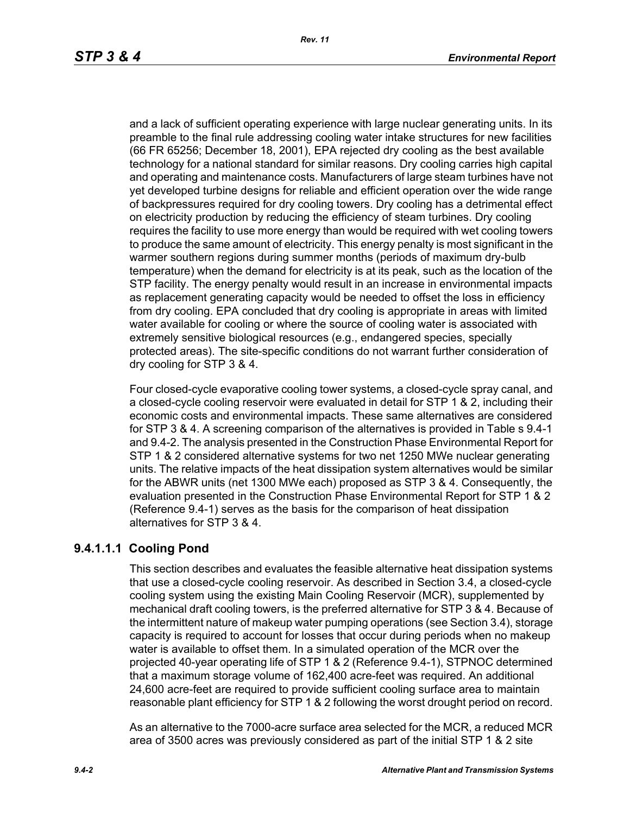and a lack of sufficient operating experience with large nuclear generating units. In its preamble to the final rule addressing cooling water intake structures for new facilities (66 FR 65256; December 18, 2001), EPA rejected dry cooling as the best available technology for a national standard for similar reasons. Dry cooling carries high capital and operating and maintenance costs. Manufacturers of large steam turbines have not yet developed turbine designs for reliable and efficient operation over the wide range of backpressures required for dry cooling towers. Dry cooling has a detrimental effect on electricity production by reducing the efficiency of steam turbines. Dry cooling requires the facility to use more energy than would be required with wet cooling towers to produce the same amount of electricity. This energy penalty is most significant in the warmer southern regions during summer months (periods of maximum dry-bulb temperature) when the demand for electricity is at its peak, such as the location of the STP facility. The energy penalty would result in an increase in environmental impacts as replacement generating capacity would be needed to offset the loss in efficiency from dry cooling. EPA concluded that dry cooling is appropriate in areas with limited water available for cooling or where the source of cooling water is associated with extremely sensitive biological resources (e.g., endangered species, specially protected areas). The site-specific conditions do not warrant further consideration of dry cooling for STP 3 & 4.

Four closed-cycle evaporative cooling tower systems, a closed-cycle spray canal, and a closed-cycle cooling reservoir were evaluated in detail for STP 1 & 2, including their economic costs and environmental impacts. These same alternatives are considered for STP 3 & 4. A screening comparison of the alternatives is provided in Table s 9.4-1 and 9.4-2. The analysis presented in the Construction Phase Environmental Report for STP 1 & 2 considered alternative systems for two net 1250 MWe nuclear generating units. The relative impacts of the heat dissipation system alternatives would be similar for the ABWR units (net 1300 MWe each) proposed as STP 3 & 4. Consequently, the evaluation presented in the Construction Phase Environmental Report for STP 1 & 2 (Reference 9.4-1) serves as the basis for the comparison of heat dissipation alternatives for STP 3 & 4.

# **9.4.1.1.1 Cooling Pond**

This section describes and evaluates the feasible alternative heat dissipation systems that use a closed-cycle cooling reservoir. As described in Section 3.4, a closed-cycle cooling system using the existing Main Cooling Reservoir (MCR), supplemented by mechanical draft cooling towers, is the preferred alternative for STP 3 & 4. Because of the intermittent nature of makeup water pumping operations (see Section 3.4), storage capacity is required to account for losses that occur during periods when no makeup water is available to offset them. In a simulated operation of the MCR over the projected 40-year operating life of STP 1 & 2 (Reference 9.4-1), STPNOC determined that a maximum storage volume of 162,400 acre-feet was required. An additional 24,600 acre-feet are required to provide sufficient cooling surface area to maintain reasonable plant efficiency for STP 1 & 2 following the worst drought period on record.

As an alternative to the 7000-acre surface area selected for the MCR, a reduced MCR area of 3500 acres was previously considered as part of the initial STP 1 & 2 site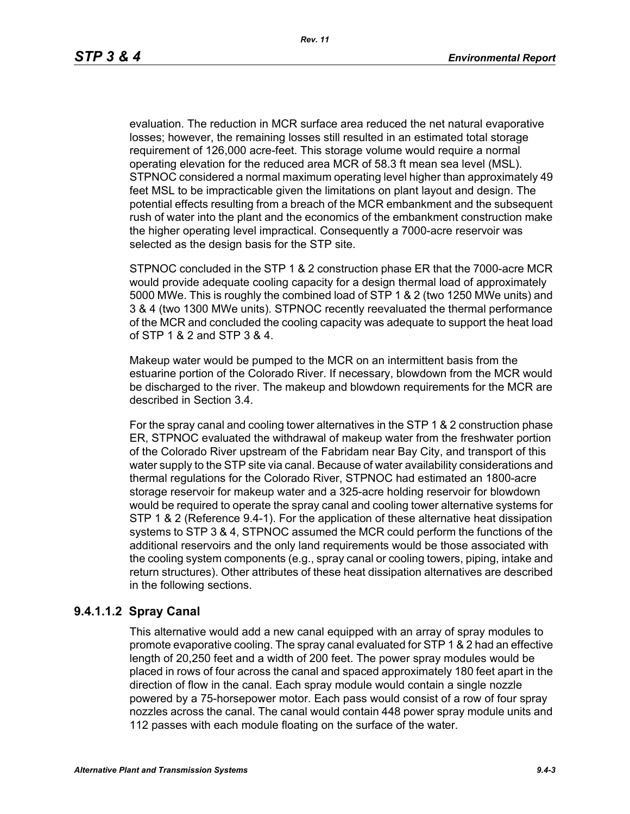evaluation. The reduction in MCR surface area reduced the net natural evaporative losses; however, the remaining losses still resulted in an estimated total storage requirement of 126,000 acre-feet. This storage volume would require a normal operating elevation for the reduced area MCR of 58.3 ft mean sea level (MSL). STPNOC considered a normal maximum operating level higher than approximately 49 feet MSL to be impracticable given the limitations on plant layout and design. The potential effects resulting from a breach of the MCR embankment and the subsequent rush of water into the plant and the economics of the embankment construction make the higher operating level impractical. Consequently a 7000-acre reservoir was selected as the design basis for the STP site.

STPNOC concluded in the STP 1 & 2 construction phase ER that the 7000-acre MCR would provide adequate cooling capacity for a design thermal load of approximately 5000 MWe. This is roughly the combined load of STP 1 & 2 (two 1250 MWe units) and 3 & 4 (two 1300 MWe units). STPNOC recently reevaluated the thermal performance of the MCR and concluded the cooling capacity was adequate to support the heat load of STP 1 & 2 and STP 3 & 4.

Makeup water would be pumped to the MCR on an intermittent basis from the estuarine portion of the Colorado River. If necessary, blowdown from the MCR would be discharged to the river. The makeup and blowdown requirements for the MCR are described in Section 3.4.

For the spray canal and cooling tower alternatives in the STP 1 & 2 construction phase ER, STPNOC evaluated the withdrawal of makeup water from the freshwater portion of the Colorado River upstream of the Fabridam near Bay City, and transport of this water supply to the STP site via canal. Because of water availability considerations and thermal regulations for the Colorado River, STPNOC had estimated an 1800-acre storage reservoir for makeup water and a 325-acre holding reservoir for blowdown would be required to operate the spray canal and cooling tower alternative systems for STP 1 & 2 (Reference 9.4-1). For the application of these alternative heat dissipation systems to STP 3 & 4, STPNOC assumed the MCR could perform the functions of the additional reservoirs and the only land requirements would be those associated with the cooling system components (e.g., spray canal or cooling towers, piping, intake and return structures). Other attributes of these heat dissipation alternatives are described in the following sections.

## **9.4.1.1.2 Spray Canal**

This alternative would add a new canal equipped with an array of spray modules to promote evaporative cooling. The spray canal evaluated for STP 1 & 2 had an effective length of 20,250 feet and a width of 200 feet. The power spray modules would be placed in rows of four across the canal and spaced approximately 180 feet apart in the direction of flow in the canal. Each spray module would contain a single nozzle powered by a 75-horsepower motor. Each pass would consist of a row of four spray nozzles across the canal. The canal would contain 448 power spray module units and 112 passes with each module floating on the surface of the water.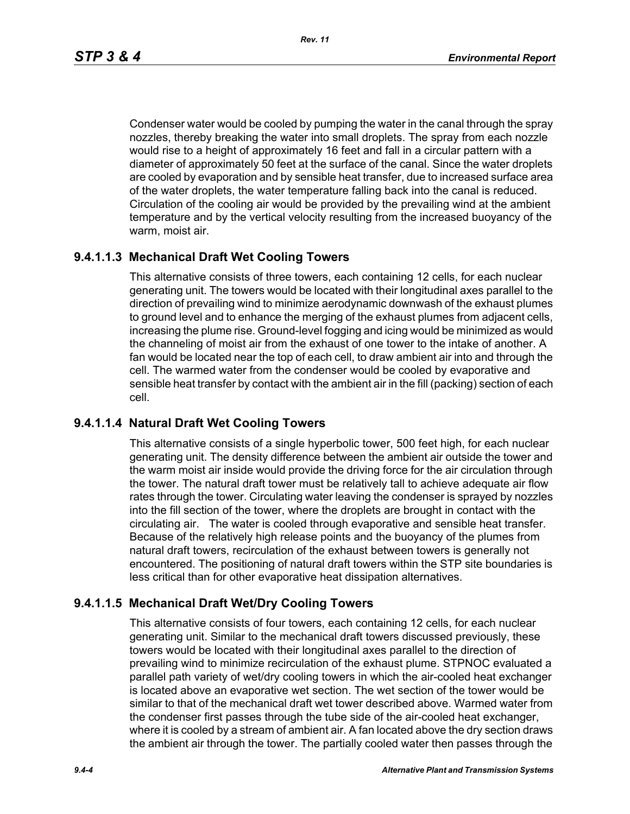Condenser water would be cooled by pumping the water in the canal through the spray nozzles, thereby breaking the water into small droplets. The spray from each nozzle would rise to a height of approximately 16 feet and fall in a circular pattern with a diameter of approximately 50 feet at the surface of the canal. Since the water droplets are cooled by evaporation and by sensible heat transfer, due to increased surface area of the water droplets, the water temperature falling back into the canal is reduced. Circulation of the cooling air would be provided by the prevailing wind at the ambient temperature and by the vertical velocity resulting from the increased buoyancy of the warm, moist air.

# **9.4.1.1.3 Mechanical Draft Wet Cooling Towers**

This alternative consists of three towers, each containing 12 cells, for each nuclear generating unit. The towers would be located with their longitudinal axes parallel to the direction of prevailing wind to minimize aerodynamic downwash of the exhaust plumes to ground level and to enhance the merging of the exhaust plumes from adjacent cells, increasing the plume rise. Ground-level fogging and icing would be minimized as would the channeling of moist air from the exhaust of one tower to the intake of another. A fan would be located near the top of each cell, to draw ambient air into and through the cell. The warmed water from the condenser would be cooled by evaporative and sensible heat transfer by contact with the ambient air in the fill (packing) section of each cell.

### **9.4.1.1.4 Natural Draft Wet Cooling Towers**

This alternative consists of a single hyperbolic tower, 500 feet high, for each nuclear generating unit. The density difference between the ambient air outside the tower and the warm moist air inside would provide the driving force for the air circulation through the tower. The natural draft tower must be relatively tall to achieve adequate air flow rates through the tower. Circulating water leaving the condenser is sprayed by nozzles into the fill section of the tower, where the droplets are brought in contact with the circulating air. The water is cooled through evaporative and sensible heat transfer. Because of the relatively high release points and the buoyancy of the plumes from natural draft towers, recirculation of the exhaust between towers is generally not encountered. The positioning of natural draft towers within the STP site boundaries is less critical than for other evaporative heat dissipation alternatives.

### **9.4.1.1.5 Mechanical Draft Wet/Dry Cooling Towers**

This alternative consists of four towers, each containing 12 cells, for each nuclear generating unit. Similar to the mechanical draft towers discussed previously, these towers would be located with their longitudinal axes parallel to the direction of prevailing wind to minimize recirculation of the exhaust plume. STPNOC evaluated a parallel path variety of wet/dry cooling towers in which the air-cooled heat exchanger is located above an evaporative wet section. The wet section of the tower would be similar to that of the mechanical draft wet tower described above. Warmed water from the condenser first passes through the tube side of the air-cooled heat exchanger, where it is cooled by a stream of ambient air. A fan located above the dry section draws the ambient air through the tower. The partially cooled water then passes through the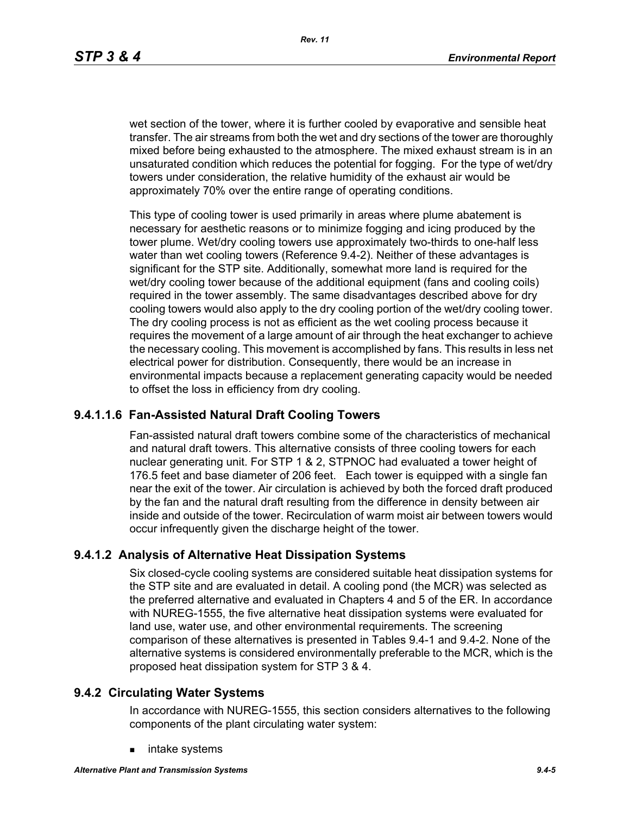wet section of the tower, where it is further cooled by evaporative and sensible heat transfer. The air streams from both the wet and dry sections of the tower are thoroughly mixed before being exhausted to the atmosphere. The mixed exhaust stream is in an unsaturated condition which reduces the potential for fogging. For the type of wet/dry towers under consideration, the relative humidity of the exhaust air would be approximately 70% over the entire range of operating conditions.

This type of cooling tower is used primarily in areas where plume abatement is necessary for aesthetic reasons or to minimize fogging and icing produced by the tower plume. Wet/dry cooling towers use approximately two-thirds to one-half less water than wet cooling towers (Reference 9.4-2). Neither of these advantages is significant for the STP site. Additionally, somewhat more land is required for the wet/dry cooling tower because of the additional equipment (fans and cooling coils) required in the tower assembly. The same disadvantages described above for dry cooling towers would also apply to the dry cooling portion of the wet/dry cooling tower. The dry cooling process is not as efficient as the wet cooling process because it requires the movement of a large amount of air through the heat exchanger to achieve the necessary cooling. This movement is accomplished by fans. This results in less net electrical power for distribution. Consequently, there would be an increase in environmental impacts because a replacement generating capacity would be needed to offset the loss in efficiency from dry cooling.

# **9.4.1.1.6 Fan-Assisted Natural Draft Cooling Towers**

Fan-assisted natural draft towers combine some of the characteristics of mechanical and natural draft towers. This alternative consists of three cooling towers for each nuclear generating unit. For STP 1 & 2, STPNOC had evaluated a tower height of 176.5 feet and base diameter of 206 feet. Each tower is equipped with a single fan near the exit of the tower. Air circulation is achieved by both the forced draft produced by the fan and the natural draft resulting from the difference in density between air inside and outside of the tower. Recirculation of warm moist air between towers would occur infrequently given the discharge height of the tower.

### **9.4.1.2 Analysis of Alternative Heat Dissipation Systems**

Six closed-cycle cooling systems are considered suitable heat dissipation systems for the STP site and are evaluated in detail. A cooling pond (the MCR) was selected as the preferred alternative and evaluated in Chapters 4 and 5 of the ER. In accordance with NUREG-1555, the five alternative heat dissipation systems were evaluated for land use, water use, and other environmental requirements. The screening comparison of these alternatives is presented in Tables 9.4-1 and 9.4-2. None of the alternative systems is considered environmentally preferable to the MCR, which is the proposed heat dissipation system for STP 3 & 4.

### **9.4.2 Circulating Water Systems**

In accordance with NUREG-1555, this section considers alternatives to the following components of the plant circulating water system:

**n** intake systems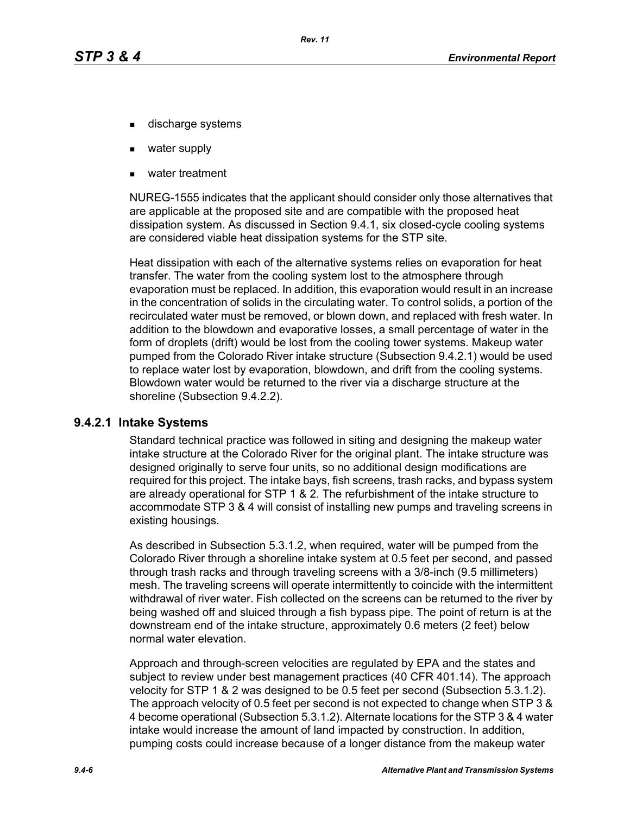- discharge systems
- water supply
- water treatment

NUREG-1555 indicates that the applicant should consider only those alternatives that are applicable at the proposed site and are compatible with the proposed heat dissipation system. As discussed in Section 9.4.1, six closed-cycle cooling systems are considered viable heat dissipation systems for the STP site.

Heat dissipation with each of the alternative systems relies on evaporation for heat transfer. The water from the cooling system lost to the atmosphere through evaporation must be replaced. In addition, this evaporation would result in an increase in the concentration of solids in the circulating water. To control solids, a portion of the recirculated water must be removed, or blown down, and replaced with fresh water. In addition to the blowdown and evaporative losses, a small percentage of water in the form of droplets (drift) would be lost from the cooling tower systems. Makeup water pumped from the Colorado River intake structure (Subsection 9.4.2.1) would be used to replace water lost by evaporation, blowdown, and drift from the cooling systems. Blowdown water would be returned to the river via a discharge structure at the shoreline (Subsection 9.4.2.2).

### **9.4.2.1 Intake Systems**

Standard technical practice was followed in siting and designing the makeup water intake structure at the Colorado River for the original plant. The intake structure was designed originally to serve four units, so no additional design modifications are required for this project. The intake bays, fish screens, trash racks, and bypass system are already operational for STP 1 & 2. The refurbishment of the intake structure to accommodate STP 3 & 4 will consist of installing new pumps and traveling screens in existing housings.

As described in Subsection 5.3.1.2, when required, water will be pumped from the Colorado River through a shoreline intake system at 0.5 feet per second, and passed through trash racks and through traveling screens with a 3/8-inch (9.5 millimeters) mesh. The traveling screens will operate intermittently to coincide with the intermittent withdrawal of river water. Fish collected on the screens can be returned to the river by being washed off and sluiced through a fish bypass pipe. The point of return is at the downstream end of the intake structure, approximately 0.6 meters (2 feet) below normal water elevation.

Approach and through-screen velocities are regulated by EPA and the states and subject to review under best management practices (40 CFR 401.14). The approach velocity for STP 1 & 2 was designed to be 0.5 feet per second (Subsection 5.3.1.2). The approach velocity of 0.5 feet per second is not expected to change when STP 3 & 4 become operational (Subsection 5.3.1.2). Alternate locations for the STP 3 & 4 water intake would increase the amount of land impacted by construction. In addition, pumping costs could increase because of a longer distance from the makeup water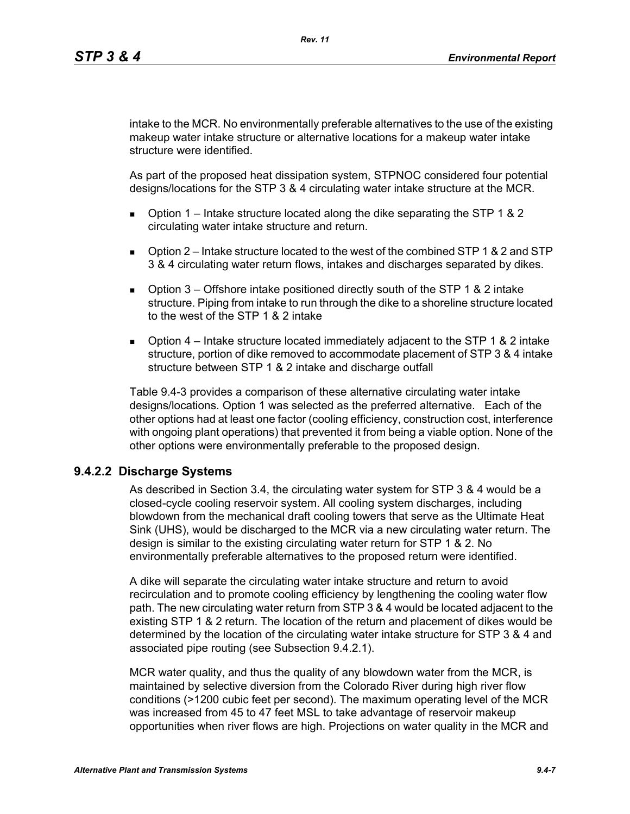intake to the MCR. No environmentally preferable alternatives to the use of the existing makeup water intake structure or alternative locations for a makeup water intake structure were identified.

As part of the proposed heat dissipation system, STPNOC considered four potential designs/locations for the STP 3 & 4 circulating water intake structure at the MCR.

- **D** Option 1 Intake structure located along the dike separating the STP 1 & 2 circulating water intake structure and return.
- $\Box$  Option 2 Intake structure located to the west of the combined STP 1 & 2 and STP 3 & 4 circulating water return flows, intakes and discharges separated by dikes.
- **D** Option  $3$  Offshore intake positioned directly south of the STP 1 & 2 intake structure. Piping from intake to run through the dike to a shoreline structure located to the west of the STP 1 & 2 intake
- **D** Option  $4$  Intake structure located immediately adjacent to the STP 1 & 2 intake structure, portion of dike removed to accommodate placement of STP 3 & 4 intake structure between STP 1 & 2 intake and discharge outfall

Table 9.4-3 provides a comparison of these alternative circulating water intake designs/locations. Option 1 was selected as the preferred alternative. Each of the other options had at least one factor (cooling efficiency, construction cost, interference with ongoing plant operations) that prevented it from being a viable option. None of the other options were environmentally preferable to the proposed design.

### **9.4.2.2 Discharge Systems**

As described in Section 3.4, the circulating water system for STP 3 & 4 would be a closed-cycle cooling reservoir system. All cooling system discharges, including blowdown from the mechanical draft cooling towers that serve as the Ultimate Heat Sink (UHS), would be discharged to the MCR via a new circulating water return. The design is similar to the existing circulating water return for STP 1 & 2. No environmentally preferable alternatives to the proposed return were identified.

A dike will separate the circulating water intake structure and return to avoid recirculation and to promote cooling efficiency by lengthening the cooling water flow path. The new circulating water return from STP 3 & 4 would be located adjacent to the existing STP 1 & 2 return. The location of the return and placement of dikes would be determined by the location of the circulating water intake structure for STP 3 & 4 and associated pipe routing (see Subsection 9.4.2.1).

MCR water quality, and thus the quality of any blowdown water from the MCR, is maintained by selective diversion from the Colorado River during high river flow conditions (>1200 cubic feet per second). The maximum operating level of the MCR was increased from 45 to 47 feet MSL to take advantage of reservoir makeup opportunities when river flows are high. Projections on water quality in the MCR and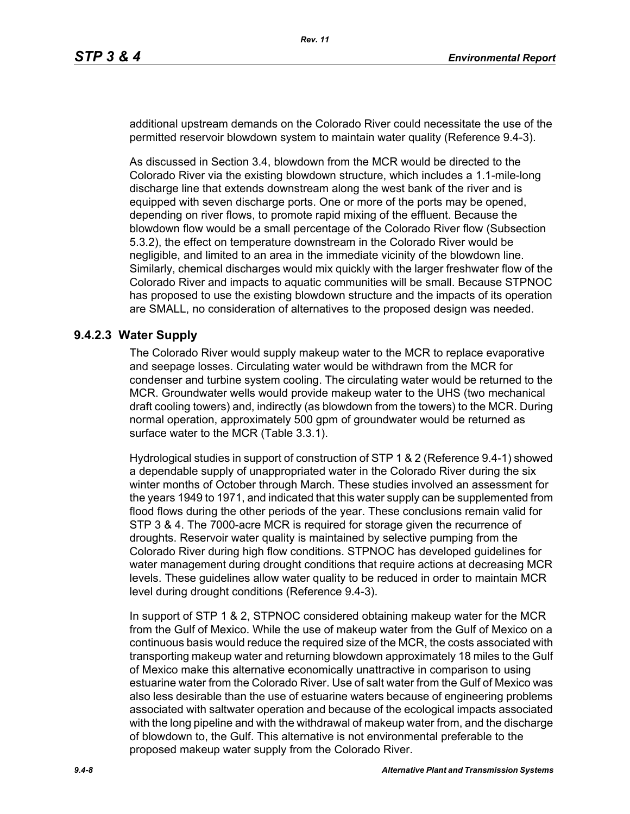additional upstream demands on the Colorado River could necessitate the use of the permitted reservoir blowdown system to maintain water quality (Reference 9.4-3).

As discussed in Section 3.4, blowdown from the MCR would be directed to the Colorado River via the existing blowdown structure, which includes a 1.1-mile-long discharge line that extends downstream along the west bank of the river and is equipped with seven discharge ports. One or more of the ports may be opened, depending on river flows, to promote rapid mixing of the effluent. Because the blowdown flow would be a small percentage of the Colorado River flow (Subsection 5.3.2), the effect on temperature downstream in the Colorado River would be negligible, and limited to an area in the immediate vicinity of the blowdown line. Similarly, chemical discharges would mix quickly with the larger freshwater flow of the Colorado River and impacts to aquatic communities will be small. Because STPNOC has proposed to use the existing blowdown structure and the impacts of its operation are SMALL, no consideration of alternatives to the proposed design was needed.

# **9.4.2.3 Water Supply**

The Colorado River would supply makeup water to the MCR to replace evaporative and seepage losses. Circulating water would be withdrawn from the MCR for condenser and turbine system cooling. The circulating water would be returned to the MCR. Groundwater wells would provide makeup water to the UHS (two mechanical draft cooling towers) and, indirectly (as blowdown from the towers) to the MCR. During normal operation, approximately 500 gpm of groundwater would be returned as surface water to the MCR (Table 3.3.1).

Hydrological studies in support of construction of STP 1 & 2 (Reference 9.4-1) showed a dependable supply of unappropriated water in the Colorado River during the six winter months of October through March. These studies involved an assessment for the years 1949 to 1971, and indicated that this water supply can be supplemented from flood flows during the other periods of the year. These conclusions remain valid for STP 3 & 4. The 7000-acre MCR is required for storage given the recurrence of droughts. Reservoir water quality is maintained by selective pumping from the Colorado River during high flow conditions. STPNOC has developed guidelines for water management during drought conditions that require actions at decreasing MCR levels. These guidelines allow water quality to be reduced in order to maintain MCR level during drought conditions (Reference 9.4-3).

In support of STP 1 & 2, STPNOC considered obtaining makeup water for the MCR from the Gulf of Mexico. While the use of makeup water from the Gulf of Mexico on a continuous basis would reduce the required size of the MCR, the costs associated with transporting makeup water and returning blowdown approximately 18 miles to the Gulf of Mexico make this alternative economically unattractive in comparison to using estuarine water from the Colorado River. Use of salt water from the Gulf of Mexico was also less desirable than the use of estuarine waters because of engineering problems associated with saltwater operation and because of the ecological impacts associated with the long pipeline and with the withdrawal of makeup water from, and the discharge of blowdown to, the Gulf. This alternative is not environmental preferable to the proposed makeup water supply from the Colorado River.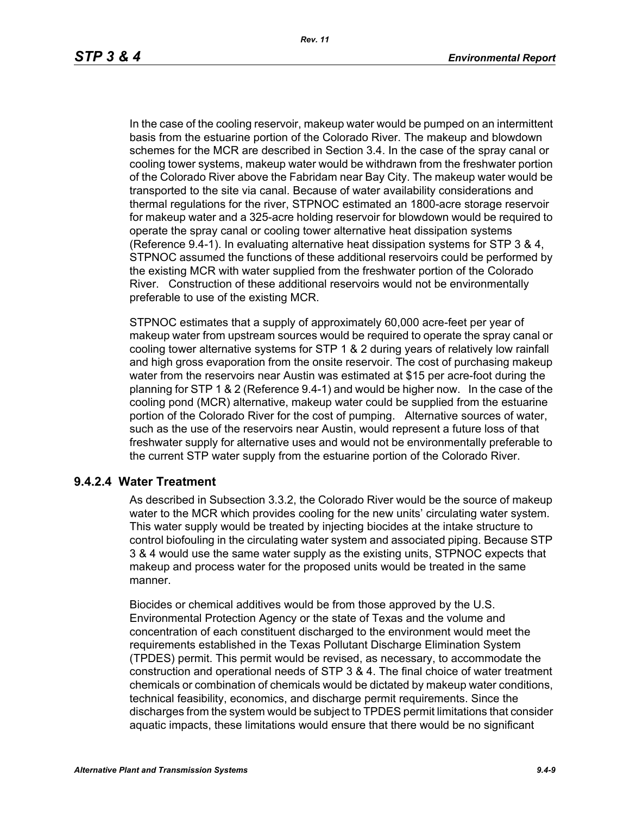In the case of the cooling reservoir, makeup water would be pumped on an intermittent basis from the estuarine portion of the Colorado River. The makeup and blowdown schemes for the MCR are described in Section 3.4. In the case of the spray canal or cooling tower systems, makeup water would be withdrawn from the freshwater portion of the Colorado River above the Fabridam near Bay City. The makeup water would be transported to the site via canal. Because of water availability considerations and thermal regulations for the river, STPNOC estimated an 1800-acre storage reservoir for makeup water and a 325-acre holding reservoir for blowdown would be required to operate the spray canal or cooling tower alternative heat dissipation systems (Reference 9.4-1). In evaluating alternative heat dissipation systems for STP 3 & 4, STPNOC assumed the functions of these additional reservoirs could be performed by the existing MCR with water supplied from the freshwater portion of the Colorado River. Construction of these additional reservoirs would not be environmentally preferable to use of the existing MCR.

STPNOC estimates that a supply of approximately 60,000 acre-feet per year of makeup water from upstream sources would be required to operate the spray canal or cooling tower alternative systems for STP 1 & 2 during years of relatively low rainfall and high gross evaporation from the onsite reservoir. The cost of purchasing makeup water from the reservoirs near Austin was estimated at \$15 per acre-foot during the planning for STP 1 & 2 (Reference 9.4-1) and would be higher now. In the case of the cooling pond (MCR) alternative, makeup water could be supplied from the estuarine portion of the Colorado River for the cost of pumping. Alternative sources of water, such as the use of the reservoirs near Austin, would represent a future loss of that freshwater supply for alternative uses and would not be environmentally preferable to the current STP water supply from the estuarine portion of the Colorado River.

### **9.4.2.4 Water Treatment**

As described in Subsection 3.3.2, the Colorado River would be the source of makeup water to the MCR which provides cooling for the new units' circulating water system. This water supply would be treated by injecting biocides at the intake structure to control biofouling in the circulating water system and associated piping. Because STP 3 & 4 would use the same water supply as the existing units, STPNOC expects that makeup and process water for the proposed units would be treated in the same manner.

Biocides or chemical additives would be from those approved by the U.S. Environmental Protection Agency or the state of Texas and the volume and concentration of each constituent discharged to the environment would meet the requirements established in the Texas Pollutant Discharge Elimination System (TPDES) permit. This permit would be revised, as necessary, to accommodate the construction and operational needs of STP 3 & 4. The final choice of water treatment chemicals or combination of chemicals would be dictated by makeup water conditions, technical feasibility, economics, and discharge permit requirements. Since the discharges from the system would be subject to TPDES permit limitations that consider aquatic impacts, these limitations would ensure that there would be no significant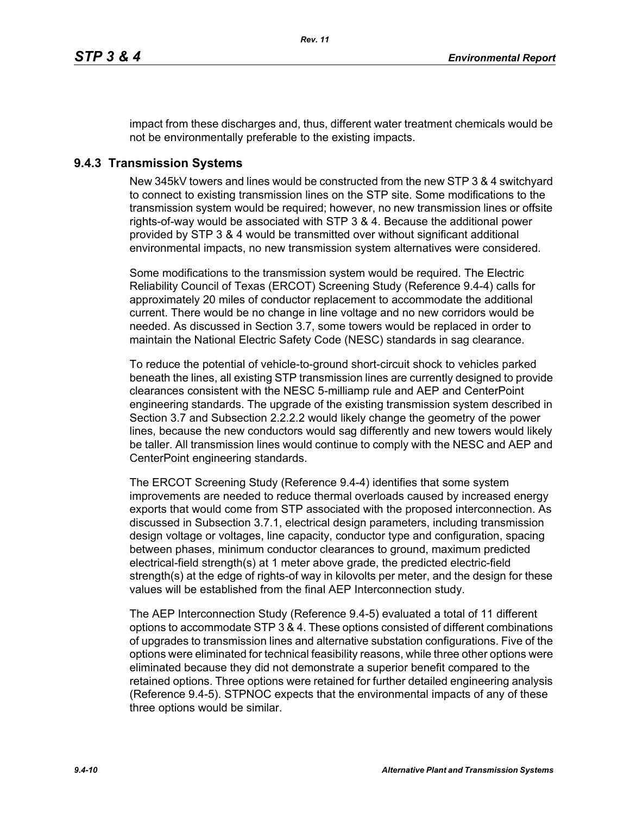impact from these discharges and, thus, different water treatment chemicals would be not be environmentally preferable to the existing impacts.

# **9.4.3 Transmission Systems**

New 345kV towers and lines would be constructed from the new STP 3 & 4 switchyard to connect to existing transmission lines on the STP site. Some modifications to the transmission system would be required; however, no new transmission lines or offsite rights-of-way would be associated with STP 3 & 4. Because the additional power provided by STP 3 & 4 would be transmitted over without significant additional environmental impacts, no new transmission system alternatives were considered.

Some modifications to the transmission system would be required. The Electric Reliability Council of Texas (ERCOT) Screening Study (Reference 9.4-4) calls for approximately 20 miles of conductor replacement to accommodate the additional current. There would be no change in line voltage and no new corridors would be needed. As discussed in Section 3.7, some towers would be replaced in order to maintain the National Electric Safety Code (NESC) standards in sag clearance.

To reduce the potential of vehicle-to-ground short-circuit shock to vehicles parked beneath the lines, all existing STP transmission lines are currently designed to provide clearances consistent with the NESC 5-milliamp rule and AEP and CenterPoint engineering standards. The upgrade of the existing transmission system described in Section 3.7 and Subsection 2.2.2.2 would likely change the geometry of the power lines, because the new conductors would sag differently and new towers would likely be taller. All transmission lines would continue to comply with the NESC and AEP and CenterPoint engineering standards.

The ERCOT Screening Study (Reference 9.4-4) identifies that some system improvements are needed to reduce thermal overloads caused by increased energy exports that would come from STP associated with the proposed interconnection. As discussed in Subsection 3.7.1, electrical design parameters, including transmission design voltage or voltages, line capacity, conductor type and configuration, spacing between phases, minimum conductor clearances to ground, maximum predicted electrical-field strength(s) at 1 meter above grade, the predicted electric-field strength(s) at the edge of rights-of way in kilovolts per meter, and the design for these values will be established from the final AEP Interconnection study.

The AEP Interconnection Study (Reference 9.4-5) evaluated a total of 11 different options to accommodate STP 3 & 4. These options consisted of different combinations of upgrades to transmission lines and alternative substation configurations. Five of the options were eliminated for technical feasibility reasons, while three other options were eliminated because they did not demonstrate a superior benefit compared to the retained options. Three options were retained for further detailed engineering analysis (Reference 9.4-5). STPNOC expects that the environmental impacts of any of these three options would be similar.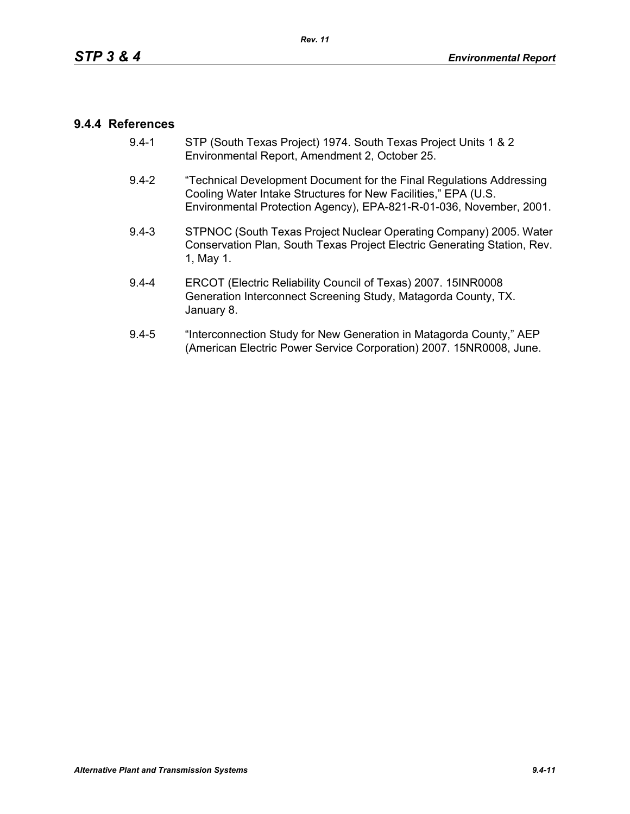## **9.4.4 References**

- 9.4-1 STP (South Texas Project) 1974. South Texas Project Units 1 & 2 Environmental Report, Amendment 2, October 25.
- 9.4-2 "Technical Development Document for the Final Regulations Addressing Cooling Water Intake Structures for New Facilities," EPA (U.S. Environmental Protection Agency), EPA-821-R-01-036, November, 2001.
- 9.4-3 STPNOC (South Texas Project Nuclear Operating Company) 2005. Water Conservation Plan, South Texas Project Electric Generating Station, Rev. 1, May 1.
- 9.4-4 ERCOT (Electric Reliability Council of Texas) 2007. 15INR0008 Generation Interconnect Screening Study, Matagorda County, TX. January 8.
- 9.4-5 "Interconnection Study for New Generation in Matagorda County," AEP (American Electric Power Service Corporation) 2007. 15NR0008, June.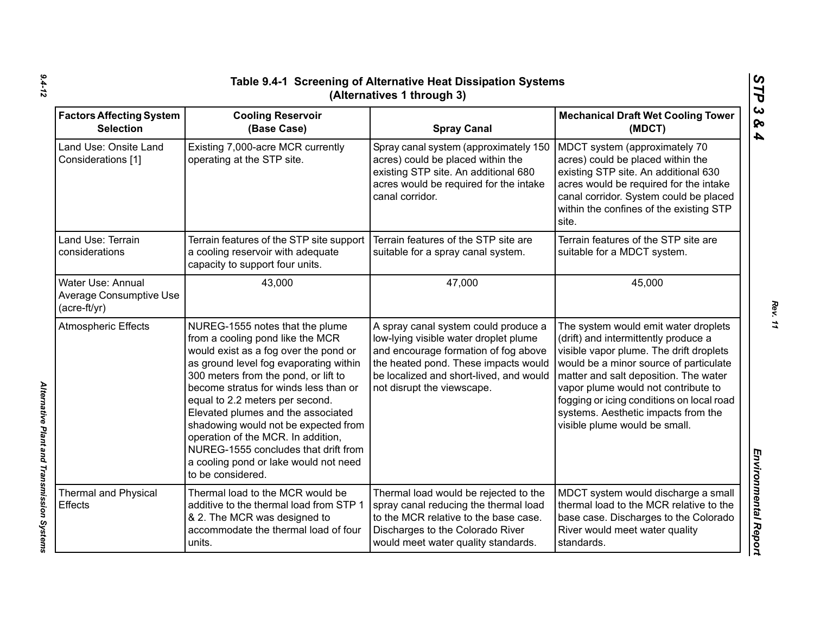| Table 9.4-1 Screening of Alternative Heat Dissipation Systems<br>(Alternatives 1 through 3) |                                                                                                                                                                                                                                                                                                                                                                                                                                                                                                      |                                                                                                                                                                                                                                        |                                                                                                                                                                                                                                                                                                                                                                        |  |
|---------------------------------------------------------------------------------------------|------------------------------------------------------------------------------------------------------------------------------------------------------------------------------------------------------------------------------------------------------------------------------------------------------------------------------------------------------------------------------------------------------------------------------------------------------------------------------------------------------|----------------------------------------------------------------------------------------------------------------------------------------------------------------------------------------------------------------------------------------|------------------------------------------------------------------------------------------------------------------------------------------------------------------------------------------------------------------------------------------------------------------------------------------------------------------------------------------------------------------------|--|
| <b>Factors Affecting System</b><br><b>Selection</b>                                         | <b>Cooling Reservoir</b><br>(Base Case)                                                                                                                                                                                                                                                                                                                                                                                                                                                              | <b>Spray Canal</b>                                                                                                                                                                                                                     | <b>Mechanical Draft Wet Cooling Tower</b><br>(MDCT)                                                                                                                                                                                                                                                                                                                    |  |
| Land Use: Onsite Land<br>Considerations [1]                                                 | Existing 7,000-acre MCR currently<br>operating at the STP site.                                                                                                                                                                                                                                                                                                                                                                                                                                      | Spray canal system (approximately 150<br>acres) could be placed within the<br>existing STP site. An additional 680<br>acres would be required for the intake<br>canal corridor.                                                        | MDCT system (approximately 70<br>acres) could be placed within the<br>existing STP site. An additional 630<br>acres would be required for the intake<br>canal corridor. System could be placed<br>within the confines of the existing STP<br>site.                                                                                                                     |  |
| Land Use: Terrain<br>considerations                                                         | Terrain features of the STP site support<br>a cooling reservoir with adequate<br>capacity to support four units.                                                                                                                                                                                                                                                                                                                                                                                     | Terrain features of the STP site are<br>suitable for a spray canal system.                                                                                                                                                             | Terrain features of the STP site are<br>suitable for a MDCT system.                                                                                                                                                                                                                                                                                                    |  |
| Water Use: Annual<br><b>Average Consumptive Use</b><br>$(acre-ft/yr)$                       | 43,000                                                                                                                                                                                                                                                                                                                                                                                                                                                                                               | 47,000                                                                                                                                                                                                                                 | 45,000                                                                                                                                                                                                                                                                                                                                                                 |  |
| <b>Atmospheric Effects</b>                                                                  | NUREG-1555 notes that the plume<br>from a cooling pond like the MCR<br>would exist as a fog over the pond or<br>as ground level fog evaporating within<br>300 meters from the pond, or lift to<br>become stratus for winds less than or<br>equal to 2.2 meters per second.<br>Elevated plumes and the associated<br>shadowing would not be expected from<br>operation of the MCR. In addition,<br>NUREG-1555 concludes that drift from<br>a cooling pond or lake would not need<br>to be considered. | A spray canal system could produce a<br>low-lying visible water droplet plume<br>and encourage formation of fog above<br>the heated pond. These impacts would<br>be localized and short-lived, and would<br>not disrupt the viewscape. | The system would emit water droplets<br>(drift) and intermittently produce a<br>visible vapor plume. The drift droplets<br>would be a minor source of particulate<br>matter and salt deposition. The water<br>vapor plume would not contribute to<br>fogging or icing conditions on local road<br>systems. Aesthetic impacts from the<br>visible plume would be small. |  |
| <b>Thermal and Physical</b><br><b>Effects</b>                                               | Thermal load to the MCR would be<br>additive to the thermal load from STP 1<br>& 2. The MCR was designed to<br>accommodate the thermal load of four<br>units.                                                                                                                                                                                                                                                                                                                                        | Thermal load would be rejected to the<br>spray canal reducing the thermal load<br>to the MCR relative to the base case.<br>Discharges to the Colorado River<br>would meet water quality standards.                                     | MDCT system would discharge a small<br>thermal load to the MCR relative to the<br>base case. Discharges to the Colorado<br>River would meet water quality<br>standards.                                                                                                                                                                                                |  |

*Alternative Plant and Transmission Systems* 

Alternative Plant and Transmission Systems

*Rev. 11*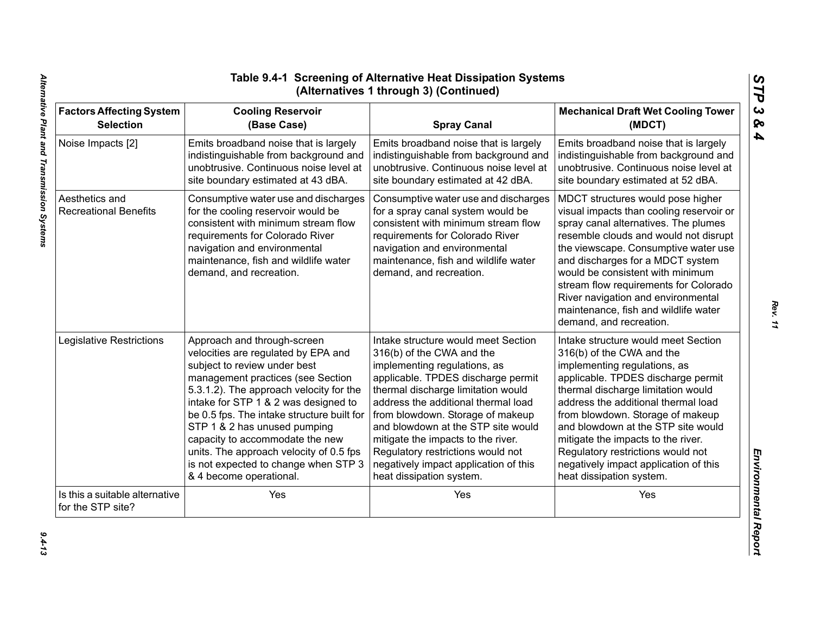| <b>Factors Affecting System</b>                     | <b>Cooling Reservoir</b>                                                                                                                                                                                                                                | <b>Spray Canal</b>                                                                                                                                                                                                                                     | <b>Mechanical Draft Wet Cooling Tower</b>                                                                                                                                                                                                                                                                                                                                                                                        |
|-----------------------------------------------------|---------------------------------------------------------------------------------------------------------------------------------------------------------------------------------------------------------------------------------------------------------|--------------------------------------------------------------------------------------------------------------------------------------------------------------------------------------------------------------------------------------------------------|----------------------------------------------------------------------------------------------------------------------------------------------------------------------------------------------------------------------------------------------------------------------------------------------------------------------------------------------------------------------------------------------------------------------------------|
| <b>Selection</b>                                    | (Base Case)                                                                                                                                                                                                                                             |                                                                                                                                                                                                                                                        | (MDCT)                                                                                                                                                                                                                                                                                                                                                                                                                           |
| Noise Impacts [2]                                   | Emits broadband noise that is largely                                                                                                                                                                                                                   | Emits broadband noise that is largely                                                                                                                                                                                                                  | Emits broadband noise that is largely                                                                                                                                                                                                                                                                                                                                                                                            |
|                                                     | indistinguishable from background and                                                                                                                                                                                                                   | indistinguishable from background and                                                                                                                                                                                                                  | indistinguishable from background and                                                                                                                                                                                                                                                                                                                                                                                            |
|                                                     | unobtrusive. Continuous noise level at                                                                                                                                                                                                                  | unobtrusive. Continuous noise level at                                                                                                                                                                                                                 | unobtrusive. Continuous noise level at                                                                                                                                                                                                                                                                                                                                                                                           |
|                                                     | site boundary estimated at 43 dBA.                                                                                                                                                                                                                      | site boundary estimated at 42 dBA.                                                                                                                                                                                                                     | site boundary estimated at 52 dBA.                                                                                                                                                                                                                                                                                                                                                                                               |
| Aesthetics and<br><b>Recreational Benefits</b>      | Consumptive water use and discharges<br>for the cooling reservoir would be<br>consistent with minimum stream flow<br>requirements for Colorado River<br>navigation and environmental<br>maintenance, fish and wildlife water<br>demand, and recreation. | Consumptive water use and discharges<br>for a spray canal system would be<br>consistent with minimum stream flow<br>requirements for Colorado River<br>navigation and environmental<br>maintenance, fish and wildlife water<br>demand, and recreation. | MDCT structures would pose higher<br>visual impacts than cooling reservoir or<br>spray canal alternatives. The plumes<br>resemble clouds and would not disrupt<br>the viewscape. Consumptive water use<br>and discharges for a MDCT system<br>would be consistent with minimum<br>stream flow requirements for Colorado<br>River navigation and environmental<br>maintenance, fish and wildlife water<br>demand, and recreation. |
| Legislative Restrictions                            | Approach and through-screen                                                                                                                                                                                                                             | Intake structure would meet Section                                                                                                                                                                                                                    | Intake structure would meet Section                                                                                                                                                                                                                                                                                                                                                                                              |
|                                                     | velocities are regulated by EPA and                                                                                                                                                                                                                     | 316(b) of the CWA and the                                                                                                                                                                                                                              | 316(b) of the CWA and the                                                                                                                                                                                                                                                                                                                                                                                                        |
|                                                     | subject to review under best                                                                                                                                                                                                                            | implementing regulations, as                                                                                                                                                                                                                           | implementing regulations, as                                                                                                                                                                                                                                                                                                                                                                                                     |
|                                                     | management practices (see Section                                                                                                                                                                                                                       | applicable. TPDES discharge permit                                                                                                                                                                                                                     | applicable. TPDES discharge permit                                                                                                                                                                                                                                                                                                                                                                                               |
|                                                     | 5.3.1.2). The approach velocity for the                                                                                                                                                                                                                 | thermal discharge limitation would                                                                                                                                                                                                                     | thermal discharge limitation would                                                                                                                                                                                                                                                                                                                                                                                               |
|                                                     | intake for STP 1 & 2 was designed to                                                                                                                                                                                                                    | address the additional thermal load                                                                                                                                                                                                                    | address the additional thermal load                                                                                                                                                                                                                                                                                                                                                                                              |
|                                                     | be 0.5 fps. The intake structure built for                                                                                                                                                                                                              | from blowdown. Storage of makeup                                                                                                                                                                                                                       | from blowdown. Storage of makeup                                                                                                                                                                                                                                                                                                                                                                                                 |
|                                                     | STP 1 & 2 has unused pumping                                                                                                                                                                                                                            | and blowdown at the STP site would                                                                                                                                                                                                                     | and blowdown at the STP site would                                                                                                                                                                                                                                                                                                                                                                                               |
|                                                     | capacity to accommodate the new                                                                                                                                                                                                                         | mitigate the impacts to the river.                                                                                                                                                                                                                     | mitigate the impacts to the river.                                                                                                                                                                                                                                                                                                                                                                                               |
|                                                     | units. The approach velocity of 0.5 fps                                                                                                                                                                                                                 | Regulatory restrictions would not                                                                                                                                                                                                                      | Regulatory restrictions would not                                                                                                                                                                                                                                                                                                                                                                                                |
|                                                     | is not expected to change when STP 3                                                                                                                                                                                                                    | negatively impact application of this                                                                                                                                                                                                                  | negatively impact application of this                                                                                                                                                                                                                                                                                                                                                                                            |
|                                                     | & 4 become operational.                                                                                                                                                                                                                                 | heat dissipation system.                                                                                                                                                                                                                               | heat dissipation system.                                                                                                                                                                                                                                                                                                                                                                                                         |
| Is this a suitable alternative<br>for the STP site? | Yes                                                                                                                                                                                                                                                     | Yes                                                                                                                                                                                                                                                    | Yes                                                                                                                                                                                                                                                                                                                                                                                                                              |

*Rev. 11*

*STP 3 & 4*

 $9.4 - 13$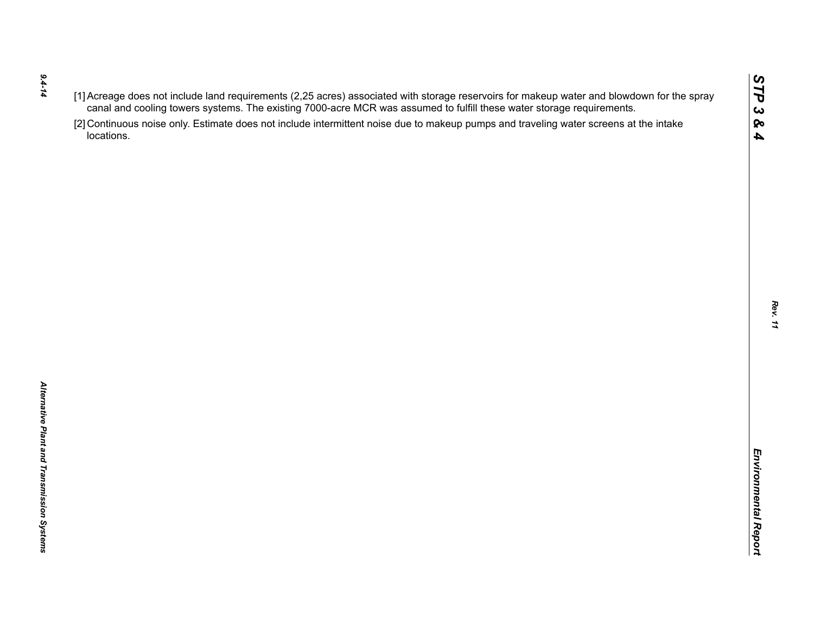- *9.4-14*
- 
- $(1)$  Accessors of the rich requirements (2.25 are once to the was assumed to furth these water storage requirements.<br>
Caroline of the control of the state of the state of the state of the state of the state of the state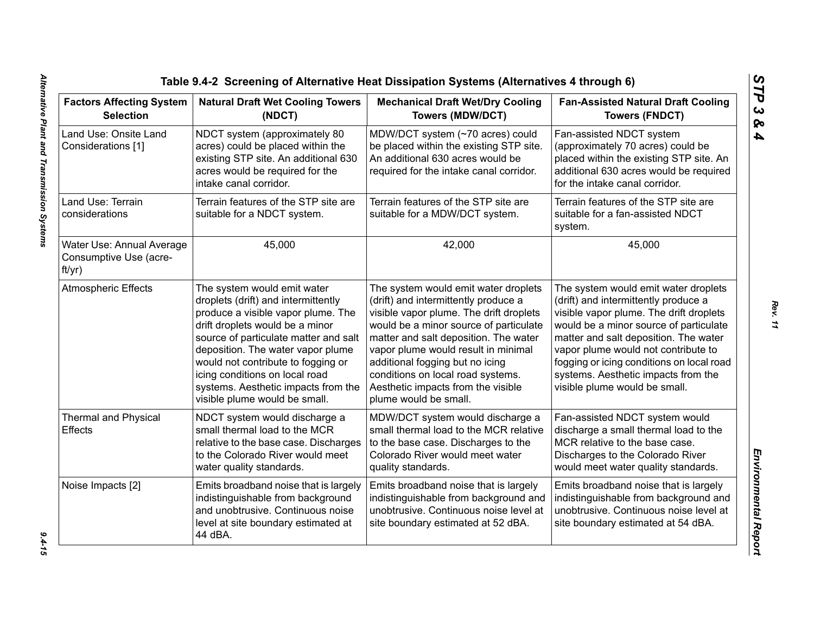| <b>Factors Affecting System</b><br><b>Selection</b>           | <b>Natural Draft Wet Cooling Towers</b><br>(NDCT)                                                                                                                                                                                                                                                                                                                         | <b>Mechanical Draft Wet/Dry Cooling</b><br><b>Towers (MDW/DCT)</b>                                                                                                                                                                                                                                                                                                                       | <b>Fan-Assisted Natural Draft Cooling</b><br><b>Towers (FNDCT)</b>                                                                                                                                                                                                                                                                                                     |
|---------------------------------------------------------------|---------------------------------------------------------------------------------------------------------------------------------------------------------------------------------------------------------------------------------------------------------------------------------------------------------------------------------------------------------------------------|------------------------------------------------------------------------------------------------------------------------------------------------------------------------------------------------------------------------------------------------------------------------------------------------------------------------------------------------------------------------------------------|------------------------------------------------------------------------------------------------------------------------------------------------------------------------------------------------------------------------------------------------------------------------------------------------------------------------------------------------------------------------|
| Land Use: Onsite Land<br>Considerations [1]                   | NDCT system (approximately 80<br>acres) could be placed within the<br>existing STP site. An additional 630<br>acres would be required for the<br>intake canal corridor.                                                                                                                                                                                                   | MDW/DCT system (~70 acres) could<br>be placed within the existing STP site.<br>An additional 630 acres would be<br>required for the intake canal corridor.                                                                                                                                                                                                                               | Fan-assisted NDCT system<br>(approximately 70 acres) could be<br>placed within the existing STP site. An<br>additional 630 acres would be required<br>for the intake canal corridor.                                                                                                                                                                                   |
| Land Use: Terrain<br>considerations                           | Terrain features of the STP site are<br>suitable for a NDCT system.                                                                                                                                                                                                                                                                                                       | Terrain features of the STP site are<br>suitable for a MDW/DCT system.                                                                                                                                                                                                                                                                                                                   | Terrain features of the STP site are<br>suitable for a fan-assisted NDCT<br>system.                                                                                                                                                                                                                                                                                    |
| Water Use: Annual Average<br>Consumptive Use (acre-<br>ft/yr) | 45,000                                                                                                                                                                                                                                                                                                                                                                    | 42,000                                                                                                                                                                                                                                                                                                                                                                                   | 45,000                                                                                                                                                                                                                                                                                                                                                                 |
| <b>Atmospheric Effects</b>                                    | The system would emit water<br>droplets (drift) and intermittently<br>produce a visible vapor plume. The<br>drift droplets would be a minor<br>source of particulate matter and salt<br>deposition. The water vapor plume<br>would not contribute to fogging or<br>icing conditions on local road<br>systems. Aesthetic impacts from the<br>visible plume would be small. | The system would emit water droplets<br>(drift) and intermittently produce a<br>visible vapor plume. The drift droplets<br>would be a minor source of particulate<br>matter and salt deposition. The water<br>vapor plume would result in minimal<br>additional fogging but no icing<br>conditions on local road systems.<br>Aesthetic impacts from the visible<br>plume would be small. | The system would emit water droplets<br>(drift) and intermittently produce a<br>visible vapor plume. The drift droplets<br>would be a minor source of particulate<br>matter and salt deposition. The water<br>vapor plume would not contribute to<br>fogging or icing conditions on local road<br>systems. Aesthetic impacts from the<br>visible plume would be small. |
| <b>Thermal and Physical</b><br>Effects                        | MDW/DCT system would discharge a<br>NDCT system would discharge a<br>small thermal load to the MCR<br>small thermal load to the MCR relative<br>relative to the base case. Discharges<br>to the base case. Discharges to the<br>to the Colorado River would meet<br>Colorado River would meet water<br>water quality standards.<br>quality standards.                     |                                                                                                                                                                                                                                                                                                                                                                                          | Fan-assisted NDCT system would<br>discharge a small thermal load to the<br>MCR relative to the base case.<br>Discharges to the Colorado River<br>would meet water quality standards.                                                                                                                                                                                   |
| Noise Impacts [2]                                             | Emits broadband noise that is largely<br>indistinguishable from background<br>and unobtrusive. Continuous noise<br>level at site boundary estimated at<br>44 dBA.                                                                                                                                                                                                         | Emits broadband noise that is largely<br>indistinguishable from background and<br>unobtrusive. Continuous noise level at<br>site boundary estimated at 52 dBA.                                                                                                                                                                                                                           | Emits broadband noise that is largely<br>indistinguishable from background and<br>unobtrusive. Continuous noise level at<br>site boundary estimated at 54 dBA.                                                                                                                                                                                                         |

*STP 3 & 4*

 $9.4 - 15$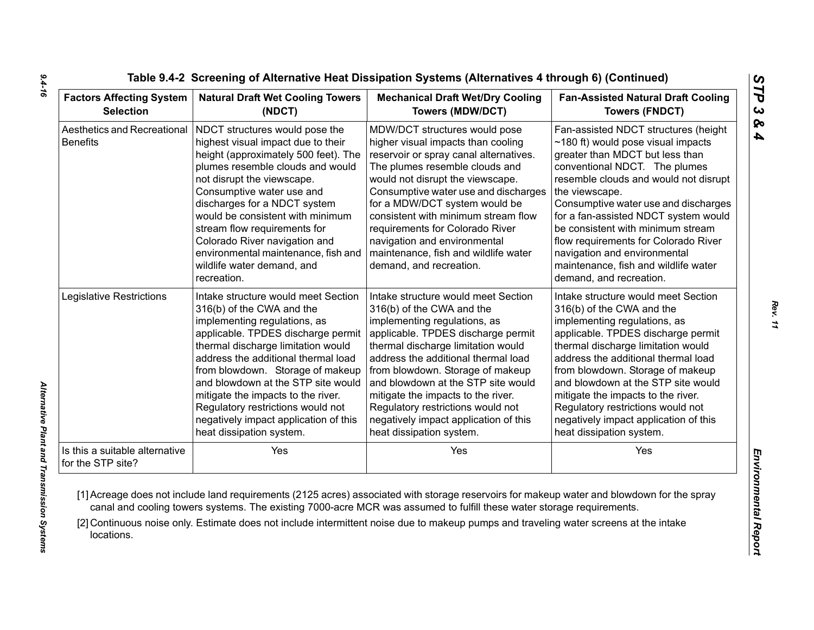| <b>Factors Affecting System</b>                     | <b>Natural Draft Wet Cooling Towers</b>                                                                                                                                                                                                                                                                                                                                                                                              | <b>Mechanical Draft Wet/Dry Cooling</b>                                                                                                                                                                                                                                                                                                                                                                                                   | <b>Fan-Assisted Natural Draft Cooling</b>                                                                                                                                                                                                                                                                                                                                                                                                                                       |  |
|-----------------------------------------------------|--------------------------------------------------------------------------------------------------------------------------------------------------------------------------------------------------------------------------------------------------------------------------------------------------------------------------------------------------------------------------------------------------------------------------------------|-------------------------------------------------------------------------------------------------------------------------------------------------------------------------------------------------------------------------------------------------------------------------------------------------------------------------------------------------------------------------------------------------------------------------------------------|---------------------------------------------------------------------------------------------------------------------------------------------------------------------------------------------------------------------------------------------------------------------------------------------------------------------------------------------------------------------------------------------------------------------------------------------------------------------------------|--|
| <b>Selection</b>                                    | (NDCT)                                                                                                                                                                                                                                                                                                                                                                                                                               | <b>Towers (MDW/DCT)</b>                                                                                                                                                                                                                                                                                                                                                                                                                   | <b>Towers (FNDCT)</b>                                                                                                                                                                                                                                                                                                                                                                                                                                                           |  |
| Aesthetics and Recreational<br><b>Benefits</b>      | NDCT structures would pose the<br>highest visual impact due to their<br>height (approximately 500 feet). The<br>plumes resemble clouds and would<br>not disrupt the viewscape.<br>Consumptive water use and<br>discharges for a NDCT system<br>would be consistent with minimum<br>stream flow requirements for<br>Colorado River navigation and<br>environmental maintenance, fish and<br>wildlife water demand, and<br>recreation. | MDW/DCT structures would pose<br>higher visual impacts than cooling<br>reservoir or spray canal alternatives.<br>The plumes resemble clouds and<br>would not disrupt the viewscape.<br>Consumptive water use and discharges<br>for a MDW/DCT system would be<br>consistent with minimum stream flow<br>requirements for Colorado River<br>navigation and environmental<br>maintenance, fish and wildlife water<br>demand, and recreation. | Fan-assisted NDCT structures (height<br>$\sim$ 180 ft) would pose visual impacts<br>greater than MDCT but less than<br>conventional NDCT. The plumes<br>resemble clouds and would not disrupt<br>the viewscape.<br>Consumptive water use and discharges<br>for a fan-assisted NDCT system would<br>be consistent with minimum stream<br>flow requirements for Colorado River<br>navigation and environmental<br>maintenance, fish and wildlife water<br>demand, and recreation. |  |
| Legislative Restrictions                            | Intake structure would meet Section                                                                                                                                                                                                                                                                                                                                                                                                  | Intake structure would meet Section                                                                                                                                                                                                                                                                                                                                                                                                       | Intake structure would meet Section                                                                                                                                                                                                                                                                                                                                                                                                                                             |  |
|                                                     | 316(b) of the CWA and the                                                                                                                                                                                                                                                                                                                                                                                                            | 316(b) of the CWA and the                                                                                                                                                                                                                                                                                                                                                                                                                 | 316(b) of the CWA and the                                                                                                                                                                                                                                                                                                                                                                                                                                                       |  |
|                                                     | implementing regulations, as                                                                                                                                                                                                                                                                                                                                                                                                         | implementing regulations, as                                                                                                                                                                                                                                                                                                                                                                                                              | implementing regulations, as                                                                                                                                                                                                                                                                                                                                                                                                                                                    |  |
|                                                     | applicable. TPDES discharge permit                                                                                                                                                                                                                                                                                                                                                                                                   | applicable. TPDES discharge permit                                                                                                                                                                                                                                                                                                                                                                                                        | applicable. TPDES discharge permit                                                                                                                                                                                                                                                                                                                                                                                                                                              |  |
|                                                     | thermal discharge limitation would                                                                                                                                                                                                                                                                                                                                                                                                   | thermal discharge limitation would                                                                                                                                                                                                                                                                                                                                                                                                        | thermal discharge limitation would                                                                                                                                                                                                                                                                                                                                                                                                                                              |  |
|                                                     | address the additional thermal load                                                                                                                                                                                                                                                                                                                                                                                                  | address the additional thermal load                                                                                                                                                                                                                                                                                                                                                                                                       | address the additional thermal load                                                                                                                                                                                                                                                                                                                                                                                                                                             |  |
|                                                     | from blowdown. Storage of makeup                                                                                                                                                                                                                                                                                                                                                                                                     | from blowdown. Storage of makeup                                                                                                                                                                                                                                                                                                                                                                                                          | from blowdown. Storage of makeup                                                                                                                                                                                                                                                                                                                                                                                                                                                |  |
|                                                     | and blowdown at the STP site would                                                                                                                                                                                                                                                                                                                                                                                                   | and blowdown at the STP site would                                                                                                                                                                                                                                                                                                                                                                                                        | and blowdown at the STP site would                                                                                                                                                                                                                                                                                                                                                                                                                                              |  |
|                                                     | mitigate the impacts to the river.                                                                                                                                                                                                                                                                                                                                                                                                   | mitigate the impacts to the river.                                                                                                                                                                                                                                                                                                                                                                                                        | mitigate the impacts to the river.                                                                                                                                                                                                                                                                                                                                                                                                                                              |  |
|                                                     | Regulatory restrictions would not                                                                                                                                                                                                                                                                                                                                                                                                    | Regulatory restrictions would not                                                                                                                                                                                                                                                                                                                                                                                                         | Regulatory restrictions would not                                                                                                                                                                                                                                                                                                                                                                                                                                               |  |
|                                                     | negatively impact application of this                                                                                                                                                                                                                                                                                                                                                                                                | negatively impact application of this                                                                                                                                                                                                                                                                                                                                                                                                     | negatively impact application of this                                                                                                                                                                                                                                                                                                                                                                                                                                           |  |
|                                                     | heat dissipation system.                                                                                                                                                                                                                                                                                                                                                                                                             | heat dissipation system.                                                                                                                                                                                                                                                                                                                                                                                                                  | heat dissipation system.                                                                                                                                                                                                                                                                                                                                                                                                                                                        |  |
| Is this a suitable alternative<br>for the STP site? | Yes                                                                                                                                                                                                                                                                                                                                                                                                                                  | Yes                                                                                                                                                                                                                                                                                                                                                                                                                                       | Yes                                                                                                                                                                                                                                                                                                                                                                                                                                                                             |  |

*Rev. 11*

*STP 3 & 4*

*9.4-16*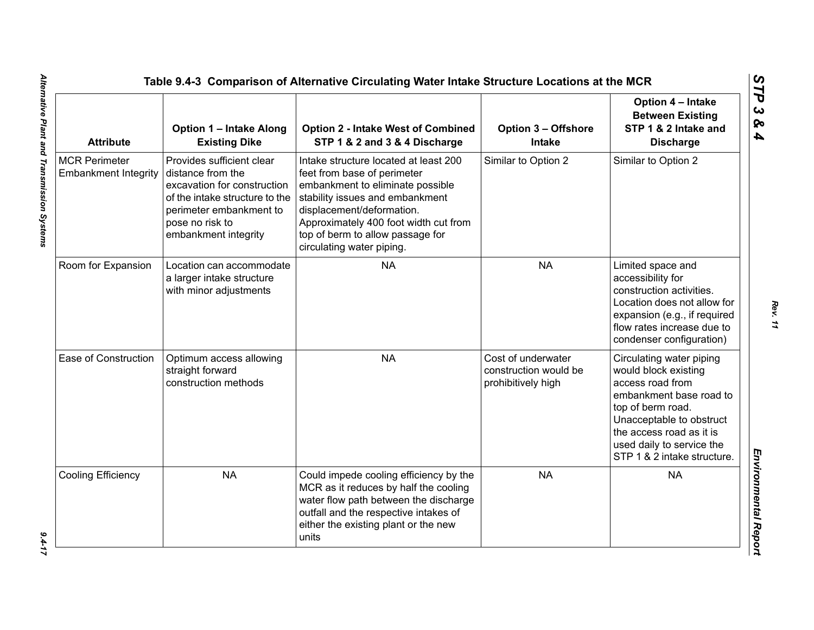| <b>Attribute</b>                                    | <b>Option 1 - Intake Along</b><br><b>Existing Dike</b>                                                                                                                                | <b>Option 2 - Intake West of Combined</b><br>STP 1 & 2 and 3 & 4 Discharge                                                                                                                                                                                                         | <b>Option 3 - Offshore</b><br><b>Intake</b>                       | Option 4 - Intake<br><b>Between Existing</b><br>STP 1 & 2 Intake and<br><b>Discharge</b>                                                                                                                                                 |
|-----------------------------------------------------|---------------------------------------------------------------------------------------------------------------------------------------------------------------------------------------|------------------------------------------------------------------------------------------------------------------------------------------------------------------------------------------------------------------------------------------------------------------------------------|-------------------------------------------------------------------|------------------------------------------------------------------------------------------------------------------------------------------------------------------------------------------------------------------------------------------|
| <b>MCR Perimeter</b><br><b>Embankment Integrity</b> | Provides sufficient clear<br>distance from the<br>excavation for construction<br>of the intake structure to the<br>perimeter embankment to<br>pose no risk to<br>embankment integrity | Intake structure located at least 200<br>feet from base of perimeter<br>embankment to eliminate possible<br>stability issues and embankment<br>displacement/deformation.<br>Approximately 400 foot width cut from<br>top of berm to allow passage for<br>circulating water piping. | Similar to Option 2                                               | Similar to Option 2                                                                                                                                                                                                                      |
| Room for Expansion                                  | Location can accommodate<br>a larger intake structure<br>with minor adjustments                                                                                                       | <b>NA</b>                                                                                                                                                                                                                                                                          | <b>NA</b>                                                         | Limited space and<br>accessibility for<br>construction activities.<br>Location does not allow for<br>expansion (e.g., if required<br>flow rates increase due to<br>condenser configuration)                                              |
| Ease of Construction                                | Optimum access allowing<br>straight forward<br>construction methods                                                                                                                   | <b>NA</b>                                                                                                                                                                                                                                                                          | Cost of underwater<br>construction would be<br>prohibitively high | Circulating water piping<br>would block existing<br>access road from<br>embankment base road to<br>top of berm road.<br>Unacceptable to obstruct<br>the access road as it is<br>used daily to service the<br>STP 1 & 2 intake structure. |
| Cooling Efficiency                                  | <b>NA</b>                                                                                                                                                                             | Could impede cooling efficiency by the<br>MCR as it reduces by half the cooling<br>water flow path between the discharge<br>outfall and the respective intakes of<br>either the existing plant or the new<br>units                                                                 | <b>NA</b>                                                         | <b>NA</b>                                                                                                                                                                                                                                |

 $9.4 - 17$